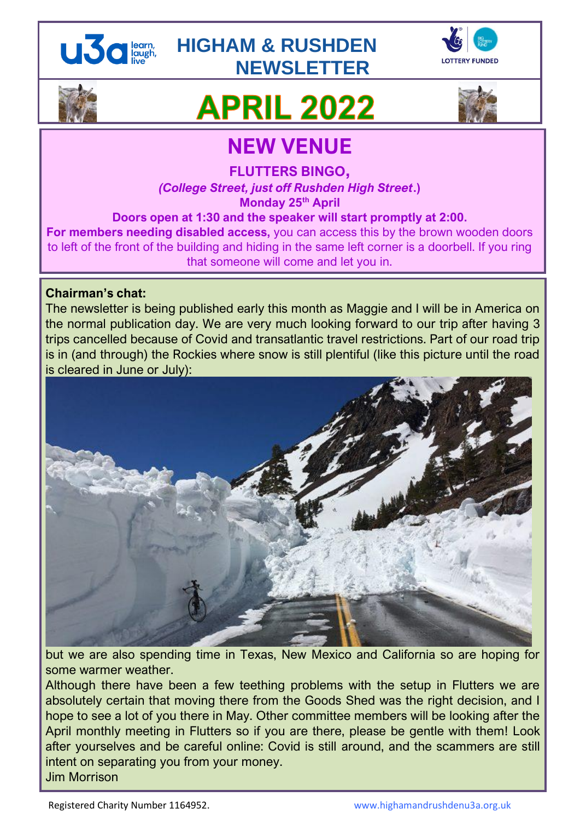

### **HIGHAM & RUSHDEN NEWSLETTER**





# **APRIL 2022**



## **NEW VENUE**

**FLUTTERS BINGO,**

*(College Street, just off Rushden High Street***.) Monday 25th April**

**Doors open at 1:30 and the speaker will start promptly at 2:00.**

**For members needing disabled access,** you can access this by the brown wooden doors to left of the front of the building and hiding in the same left corner is a doorbell. If you ring that someone will come and let you in.

#### **Chairman's chat:**

The newsletter is being published early this month as Maggie and I will be in America on the normal publication day. We are very much looking forward to our trip after having 3 trips cancelled because of Covid and transatlantic travel restrictions. Part of our road trip is in (and through) the Rockies where snow is still plentiful (like this picture until the road is cleared in June or July):



but we are also spending time in Texas, New Mexico and California so are hoping for some warmer weather.

Although there have been a few teething problems with the setup in Flutters we are absolutely certain that moving there from the Goods Shed was the right decision, and I hope to see a lot of you there in May. Other committee members will be looking after the April monthly meeting in Flutters so if you are there, please be gentle with them! Look after yourselves and be careful online: Covid is still around, and the scammers are still intent on separating you from your money. Jim Morrison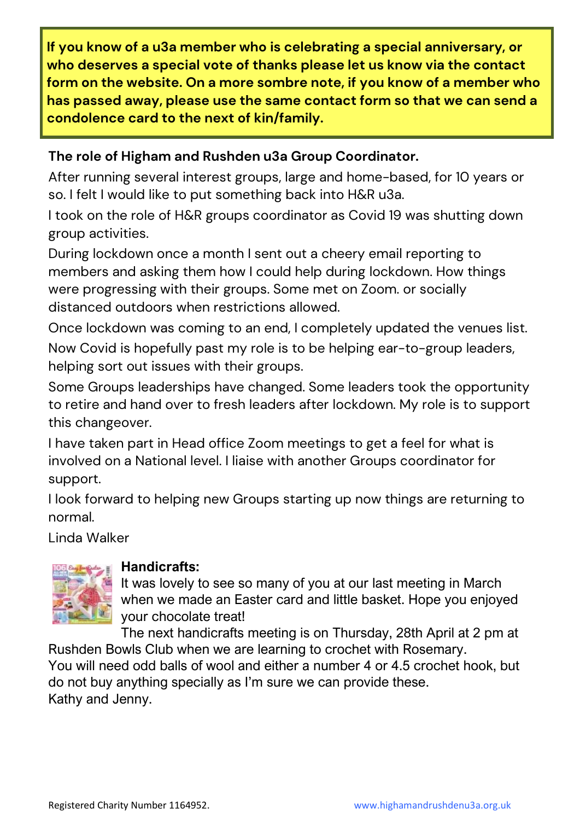**If you know of a u3a member who is celebrating a special anniversary, or who deserves a special vote of thanks please let us know via the contact form on the website. On a more sombre note, if you know of a member who has passed away, please use the same contact form so that we can send a condolence card to the next of kin/family.**

#### **The role of Higham and Rushden u3a Group Coordinator.**

After running several interest groups, large and home-based, for 10 years or so. I felt I would like to put something back into H&R u3a.

I took on the role of H&R groups coordinator as Covid 19 was shutting down group activities.

During lockdown once a month I sent out a cheery email reporting to members and asking them how I could help during lockdown. How things were progressing with their groups. Some met on Zoom. or socially distanced outdoors when restrictions allowed.

Once lockdown was coming to an end, I completely updated the venues list.

Now Covid is hopefully past my role is to be helping ear-to-group leaders, helping sort out issues with their groups.

Some Groups leaderships have changed. Some leaders took the opportunity to retire and hand over to fresh leaders after lockdown. My role is to support this changeover.

I have taken part in Head office Zoom meetings to get a feel for what is involved on a National level. I liaise with another Groups coordinator for support.

I look forward to helping new Groups starting up now things are returning to normal.

Linda Walker



#### **Handicrafts:**

It was lovely to see so many of you at our last meeting in March when we made an Easter card and little basket. Hope you enjoyed your chocolate treat!

The next handicrafts meeting is on Thursday, 28th April at 2 pm at Rushden Bowls Club when we are learning to crochet with Rosemary.

You will need odd balls of wool and either a number 4 or 4.5 crochet hook, but do not buy anything specially as I'm sure we can provide these. Kathy and Jenny.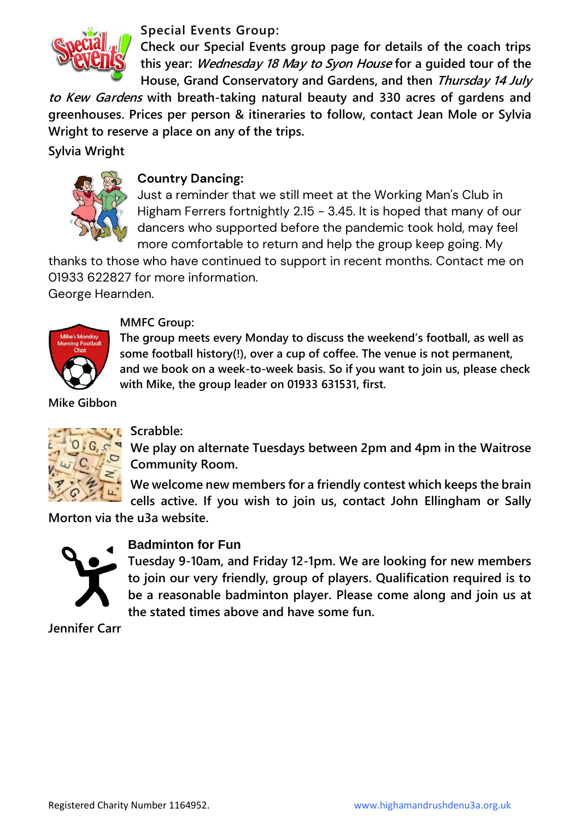

**Special Events Group:**

**Check our Special Events group page for details of the coach trips this year: Wednesday 18 May to Syon House for a guided tour of the House, Grand Conservatory and Gardens, and then Thursday 14 July** 

**to Kew Gardens with breath-taking natural beauty and 330 acres of gardens and greenhouses. Prices per person & itineraries to follow, contact Jean Mole or Sylvia Wright to reserve a place on any of the trips.**

#### **Sylvia Wright**



#### **Country Dancing:**

Just a reminder that we still meet at the Working Man's Club in Higham Ferrers fortnightly 2.15 - 3.45. It is hoped that many of our dancers who supported before the pandemic took hold, may feel more comfortable to return and help the group keep going. My

thanks to those who have continued to support in recent months. Contact me on 01933 622827 for more information. George Hearnden.



#### **MMFC Group:**

**The group meets every Monday to discuss the weekend's football, as well as some football history(!), over a cup of coffee. The venue is not permanent, and we book on a week-to-week basis. So if you want to join us, please check with Mike, the group leader on 01933 631531, first.**

**Mike Gibbon** 



#### **Scrabble:**

**We play on alternate Tuesdays between 2pm and 4pm in the Waitrose Community Room.**

**We welcome new members for a friendly contest which keeps the brain cells active. If you wish to join us, contact John Ellingham or Sally** 

**Morton via the u3a website.**



#### **Badminton for Fun**

**Tuesday 9-10am, and Friday 12-1pm. We are looking for new members to join our very friendly, group of players. Qualification required is to be a reasonable badminton player. Please come along and join us at the stated times above and have some fun.**

**Jennifer Carr**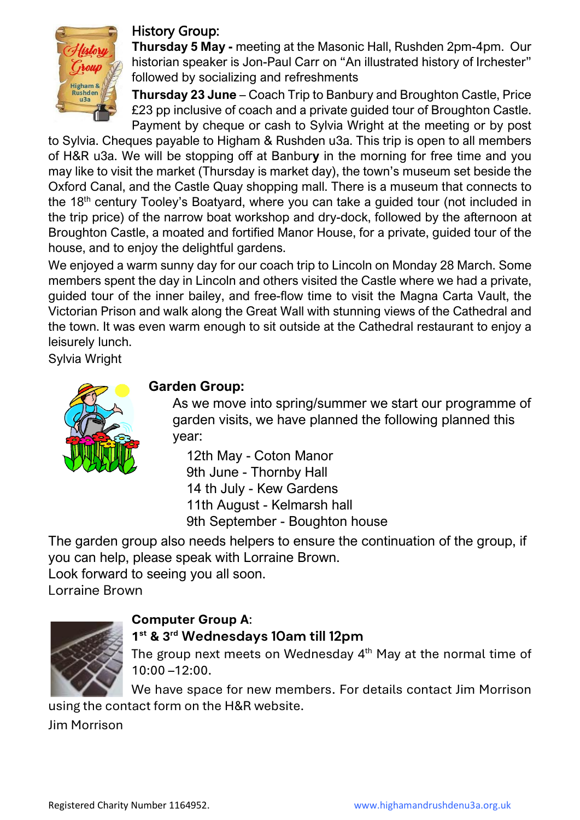

#### History Group:

**Thursday 5 May -** meeting at the Masonic Hall, Rushden 2pm-4pm. Our historian speaker is Jon-Paul Carr on "An illustrated history of Irchester" followed by socializing and refreshments

**Thursday 23 June** – Coach Trip to Banbury and Broughton Castle, Price £23 pp inclusive of coach and a private guided tour of Broughton Castle. Payment by cheque or cash to Sylvia Wright at the meeting or by post

to Sylvia. Cheques payable to Higham & Rushden u3a. This trip is open to all members of H&R u3a. We will be stopping off at Banbur**y** in the morning for free time and you may like to visit the market (Thursday is market day), the town's museum set beside the Oxford Canal, and the Castle Quay shopping mall. There is a museum that connects to the 18<sup>th</sup> century Tooley's Boatyard, where you can take a guided tour (not included in the trip price) of the narrow boat workshop and dry-dock, followed by the afternoon at Broughton Castle, a moated and fortified Manor House, for a private, guided tour of the house, and to enjoy the delightful gardens.

We enjoyed a warm sunny day for our coach trip to Lincoln on Monday 28 March. Some members spent the day in Lincoln and others visited the Castle where we had a private, guided tour of the inner bailey, and free-flow time to visit the Magna Carta Vault, the Victorian Prison and walk along the Great Wall with stunning views of the Cathedral and the town. It was even warm enough to sit outside at the Cathedral restaurant to enjoy a leisurely lunch.

Sylvia Wright



#### **Garden Group:**

As we move into spring/summer we start our programme of garden visits, we have planned the following planned this year:

12th May - Coton Manor 9th June - Thornby Hall 14 th July - Kew Gardens 11th August - Kelmarsh hall 9th September - Boughton house

The garden group also needs helpers to ensure the continuation of the group, if you can help, please speak with Lorraine Brown.

Look forward to seeing you all soon.

Lorraine Brown



#### **Computer Group A**:

#### **1 st & 3rd Wednesdays 10am till 12pm**

The group next meets on Wednesday  $4<sup>th</sup>$  May at the normal time of 10:00 –12:00.

We have space for new members. For details contact Jim Morrison using the contact form on the H&R website.

Jim Morrison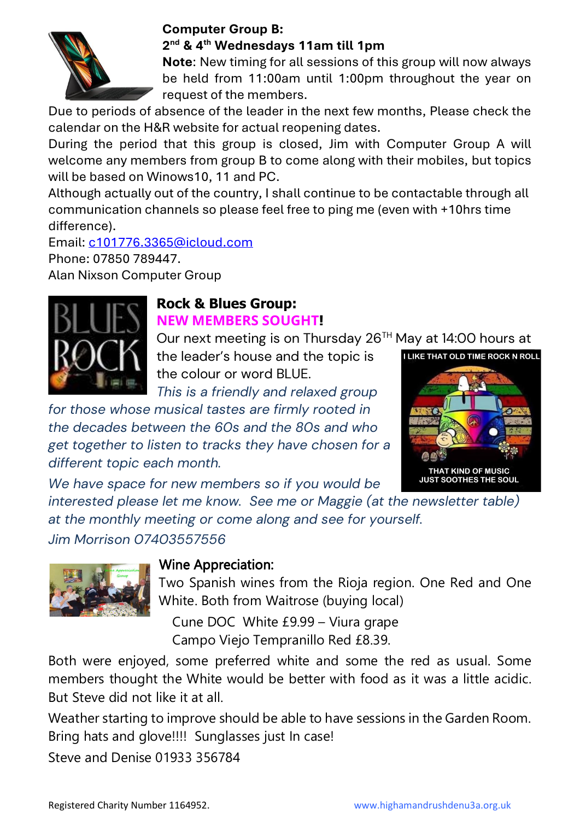

#### **Computer Group B: 2 nd & 4th Wednesdays 11am till 1pm**

**Note**: New timing for all sessions of this group will now always be held from 11:00am until 1:00pm throughout the year on request of the members.

Due to periods of absence of the leader in the next few months, Please check the calendar on the H&R website for actual reopening dates.

During the period that this group is closed, Jim with Computer Group A will welcome any members from group B to come along with their mobiles, but topics will be based on Winows10, 11 and PC.

Although actually out of the country, I shall continue to be contactable through all communication channels so please feel free to ping me (even with +10hrs time difference).

Email: [c101776.3365@icloud.com](mailto:c101776.3365@icloud.com)

Phone: 07850 789447.

Alan Nixson Computer Group



#### **Rock & Blues Group: NEW MEMBERS SOUGHT!**

Our next meeting is on Thursday 26<sup>TH</sup> May at 14:00 hours at

the leader's house and the topic is the colour or word BLUE.

*This is a friendly and relaxed group* 

*for those whose musical tastes are firmly rooted in the decades between the 60s and the 80s and who get together to listen to tracks they have chosen for a different topic each month.* 



*We have space for new members so if you would be* 

*interested please let me know. See me or Maggie (at the newsletter table) at the monthly meeting or come along and see for yourself.*

*Jim Morrison 07403557556*



### Wine Appreciation:

Two Spanish wines from the Rioja region. One Red and One White. Both from Waitrose (buying local)

Cune DOC White £9.99 – Viura grape Campo Viejo Tempranillo Red £8.39.

Both were enjoyed, some preferred white and some the red as usual. Some members thought the White would be better with food as it was a little acidic. But Steve did not like it at all.

Weather starting to improve should be able to have sessions in the Garden Room. Bring hats and glove!!!! Sunglasses just In case!

Steve and Denise 01933 356784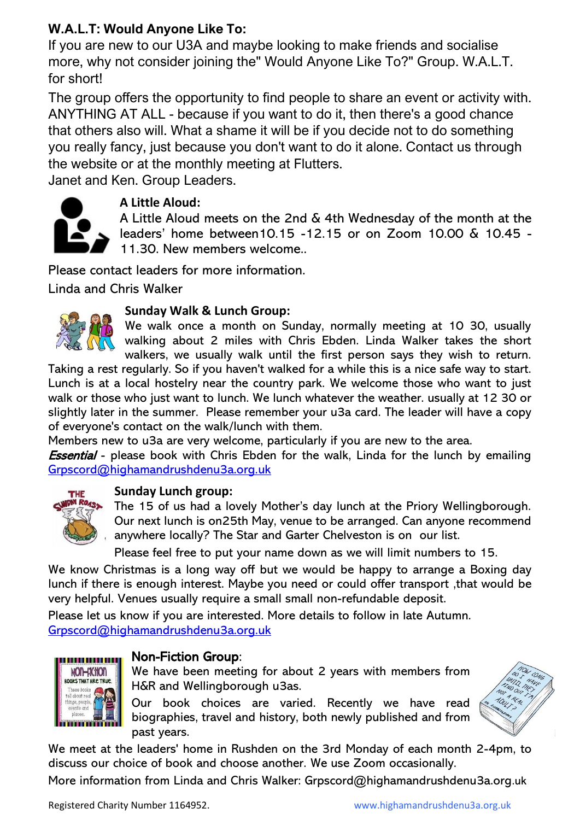#### **W.A.L.T: Would Anyone Like To:**

If you are new to our U3A and maybe looking to make friends and socialise more, why not consider joining the" Would Anyone Like To?" Group. W.A.L.T. for short!

The group offers the opportunity to find people to share an event or activity with. ANYTHING AT ALL - because if you want to do it, then there's a good chance that others also will. What a shame it will be if you decide not to do something you really fancy, just because you don't want to do it alone. Contact us through the website or at the monthly meeting at Flutters.

Janet and Ken. Group Leaders.



#### **A Little Aloud:**

A Little Aloud meets on the 2nd & 4th Wednesday of the month at the leaders' home between10.15 -12.15 or on Zoom 10.00 & 10.45 - 11.30. New members welcome..

Please contact leaders for more information.

Linda and Chris Walker



#### **Sunday Walk & Lunch Group:**

We walk once a month on Sunday, normally meeting at 10 30, usually walking about 2 miles with Chris Ebden. Linda Walker takes the short walkers, we usually walk until the first person says they wish to return.

Taking a rest regularly. So if you haven't walked for a while this is a nice safe way to start. Lunch is at a local hostelry near the country park. We welcome those who want to just walk or those who just want to lunch. We lunch whatever the weather. usually at 12 30 or slightly later in the summer. Please remember your u3a card. The leader will have a copy of everyone's contact on the walk/lunch with them.

Members new to u3a are very welcome, particularly if you are new to the area.

**Essential** - please book with Chris Ebden for the walk, Linda for the lunch by emailing [Grpscord@highamandrushdenu3a.org.uk](mailto:Grpscord@highamandrushdenu3a.org.uk)



#### **Sunday Lunch group:**

The 15 of us had a lovely Mother's day lunch at the Priory Wellingborough. Our next lunch is on25th May, venue to be arranged. Can anyone recommend anywhere locally? The Star and Garter Chelveston is on our list.

Please feel free to put your name down as we will limit numbers to 15.

We know Christmas is a long way off but we would be happy to arrange a Boxing day lunch if there is enough interest. Maybe you need or could offer transport ,that would be very helpful. Venues usually require a small small non-refundable deposit.

Please let us know if you are interested. More details to follow in late Autumn. [Grpscord@highamandrushdenu3a.org.uk](mailto:Grpscord@highamandrushdenu3a.org.uk)



#### Non-Fiction Group:

We have been meeting for about 2 years with members from H&R and Wellingborough u3as.

Our book choices are varied. Recently we have read biographies, travel and history, both newly published and from past years.



We meet at the leaders' home in Rushden on the 3rd Monday of each month 2-4pm, to discuss our choice of book and choose another. We use Zoom occasionally.

More information from Linda and Chris Walker: Grpscord@highamandrushdenu3a.org.uk

Registered Charity Number 1164952. www.highamandrushdenu3a.org.uk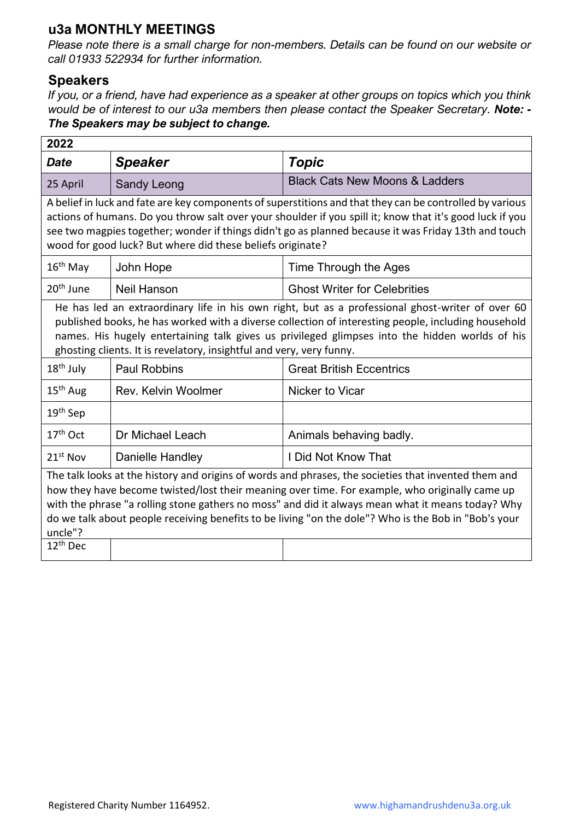#### **u3a MONTHLY MEETINGS**

*Please note there is a small charge for non-members. Details can be found on our website or call 01933 522934 for further information.*

#### **Speakers**

*If you, or a friend, have had experience as a speaker at other groups on topics which you think would be of interest to our u3a members then please contact the Speaker Secretary. Note: - The Speakers may be subject to change.*

| 2022                                                                                                                                                                                                                                                                                                                                                                                                                                         |                     |                                           |  |  |
|----------------------------------------------------------------------------------------------------------------------------------------------------------------------------------------------------------------------------------------------------------------------------------------------------------------------------------------------------------------------------------------------------------------------------------------------|---------------------|-------------------------------------------|--|--|
| <b>Date</b>                                                                                                                                                                                                                                                                                                                                                                                                                                  | <b>Speaker</b>      | Topic                                     |  |  |
| 25 April                                                                                                                                                                                                                                                                                                                                                                                                                                     | Sandy Leong         | <b>Black Cats New Moons &amp; Ladders</b> |  |  |
| A belief in luck and fate are key components of superstitions and that they can be controlled by various<br>actions of humans. Do you throw salt over your shoulder if you spill it; know that it's good luck if you<br>see two magpies together; wonder if things didn't go as planned because it was Friday 13th and touch<br>wood for good luck? But where did these beliefs originate?                                                   |                     |                                           |  |  |
| $16th$ May                                                                                                                                                                                                                                                                                                                                                                                                                                   | John Hope           | Time Through the Ages                     |  |  |
| 20 <sup>th</sup> June                                                                                                                                                                                                                                                                                                                                                                                                                        | <b>Neil Hanson</b>  | <b>Ghost Writer for Celebrities</b>       |  |  |
| He has led an extraordinary life in his own right, but as a professional ghost-writer of over 60<br>published books, he has worked with a diverse collection of interesting people, including household<br>names. His hugely entertaining talk gives us privileged glimpses into the hidden worlds of his<br>ghosting clients. It is revelatory, insightful and very, very funny.                                                            |                     |                                           |  |  |
| $18th$ July                                                                                                                                                                                                                                                                                                                                                                                                                                  | <b>Paul Robbins</b> | <b>Great British Eccentrics</b>           |  |  |
| $15th$ Aug                                                                                                                                                                                                                                                                                                                                                                                                                                   | Rev. Kelvin Woolmer | Nicker to Vicar                           |  |  |
| 19 <sup>th</sup> Sep                                                                                                                                                                                                                                                                                                                                                                                                                         |                     |                                           |  |  |
| $17th$ Oct                                                                                                                                                                                                                                                                                                                                                                                                                                   | Dr Michael Leach    | Animals behaving badly.                   |  |  |
| $21st$ Nov                                                                                                                                                                                                                                                                                                                                                                                                                                   | Danielle Handley    | I Did Not Know That                       |  |  |
| The talk looks at the history and origins of words and phrases, the societies that invented them and<br>how they have become twisted/lost their meaning over time. For example, who originally came up<br>with the phrase "a rolling stone gathers no moss" and did it always mean what it means today? Why<br>do we talk about people receiving benefits to be living "on the dole"? Who is the Bob in "Bob's your<br>uncle"?<br>$12th$ Dec |                     |                                           |  |  |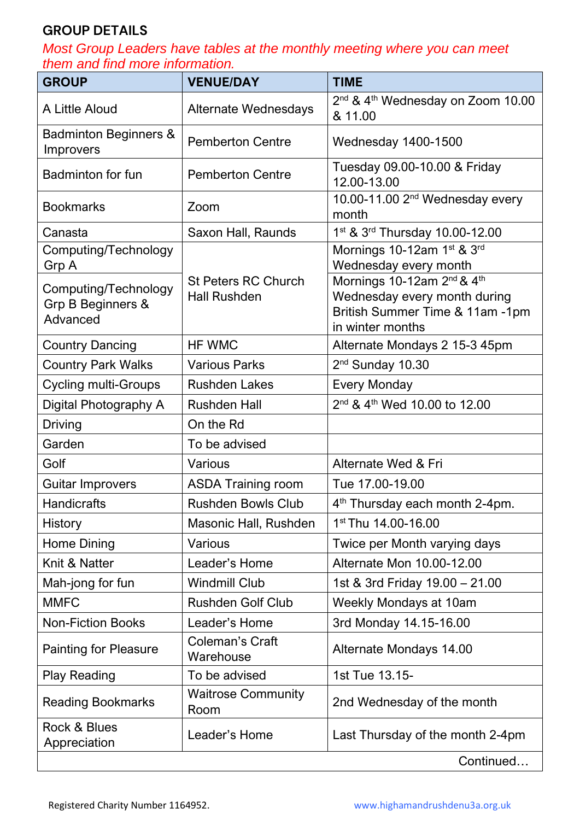#### **GROUP DETAILS**

*Most Group Leaders have tables at the monthly meeting where you can meet them and find more information.*

| <b>GROUP</b>                                          | <b>VENUE/DAY</b>                                  | <b>TIME</b>                                                                                                                               |
|-------------------------------------------------------|---------------------------------------------------|-------------------------------------------------------------------------------------------------------------------------------------------|
| A Little Aloud                                        | <b>Alternate Wednesdays</b>                       | 2 <sup>nd</sup> & 4 <sup>th</sup> Wednesday on Zoom 10.00<br>& 11.00                                                                      |
| <b>Badminton Beginners &amp;</b><br><b>Improvers</b>  | <b>Pemberton Centre</b>                           | Wednesday 1400-1500                                                                                                                       |
| <b>Badminton for fun</b>                              | <b>Pemberton Centre</b>                           | Tuesday 09.00-10.00 & Friday<br>12.00-13.00                                                                                               |
| <b>Bookmarks</b>                                      | Zoom                                              | 10.00-11.00 2 <sup>nd</sup> Wednesday every<br>month                                                                                      |
| Canasta                                               | Saxon Hall, Raunds                                | 1 <sup>st</sup> & 3 <sup>rd</sup> Thursday 10.00-12.00                                                                                    |
| Computing/Technology<br>Grp A                         |                                                   | Mornings 10-12am 1st & 3rd<br>Wednesday every month                                                                                       |
| Computing/Technology<br>Grp B Beginners &<br>Advanced | <b>St Peters RC Church</b><br><b>Hall Rushden</b> | Mornings 10-12am 2 <sup>nd</sup> & 4 <sup>th</sup><br>Wednesday every month during<br>British Summer Time & 11am -1pm<br>in winter months |
| <b>Country Dancing</b>                                | HF WMC                                            | Alternate Mondays 2 15-3 45pm                                                                                                             |
| <b>Country Park Walks</b>                             | <b>Various Parks</b>                              | $2nd$ Sunday 10.30                                                                                                                        |
| <b>Cycling multi-Groups</b>                           | <b>Rushden Lakes</b>                              | <b>Every Monday</b>                                                                                                                       |
| Digital Photography A                                 | <b>Rushden Hall</b>                               | 2 <sup>nd</sup> & 4 <sup>th</sup> Wed 10.00 to 12.00                                                                                      |
| Driving                                               | On the Rd                                         |                                                                                                                                           |
| Garden                                                | To be advised                                     |                                                                                                                                           |
| Golf                                                  | Various                                           | Alternate Wed & Fri                                                                                                                       |
| <b>Guitar Improvers</b>                               | <b>ASDA Training room</b>                         | Tue 17.00-19.00                                                                                                                           |
| <b>Handicrafts</b>                                    | <b>Rushden Bowls Club</b>                         | 4 <sup>th</sup> Thursday each month 2-4pm.                                                                                                |
| History                                               | Masonic Hall, Rushden                             | 1 <sup>st</sup> Thu 14.00-16.00                                                                                                           |
| Home Dining                                           | Various                                           | Twice per Month varying days                                                                                                              |
| Knit & Natter                                         | Leader's Home                                     | Alternate Mon 10.00-12.00                                                                                                                 |
| Mah-jong for fun                                      | <b>Windmill Club</b>                              | 1st & 3rd Friday 19.00 - 21.00                                                                                                            |
| <b>MMFC</b>                                           | <b>Rushden Golf Club</b>                          | <b>Weekly Mondays at 10am</b>                                                                                                             |
| <b>Non-Fiction Books</b>                              | Leader's Home                                     | 3rd Monday 14.15-16.00                                                                                                                    |
| <b>Painting for Pleasure</b>                          | <b>Coleman's Craft</b><br>Warehouse               | Alternate Mondays 14.00                                                                                                                   |
| <b>Play Reading</b>                                   | To be advised                                     | 1st Tue 13.15-                                                                                                                            |
| <b>Reading Bookmarks</b>                              | <b>Waitrose Community</b><br>Room                 | 2nd Wednesday of the month                                                                                                                |
| Rock & Blues<br>Appreciation                          | Leader's Home                                     | Last Thursday of the month 2-4pm                                                                                                          |
|                                                       |                                                   | Continued                                                                                                                                 |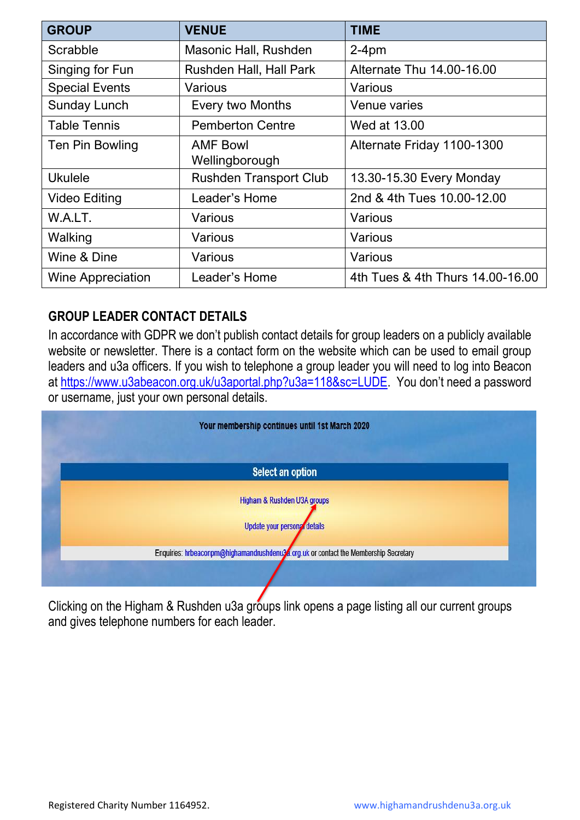| <b>GROUP</b>             | <b>VENUE</b>                   | <b>TIME</b>                      |
|--------------------------|--------------------------------|----------------------------------|
| Scrabble                 | Masonic Hall, Rushden          | $2-4pm$                          |
| Singing for Fun          | <b>Rushden Hall, Hall Park</b> | Alternate Thu 14.00-16.00        |
| <b>Special Events</b>    | Various                        | Various                          |
| <b>Sunday Lunch</b>      | <b>Every two Months</b>        | Venue varies                     |
| <b>Table Tennis</b>      | <b>Pemberton Centre</b>        | Wed at 13.00                     |
| Ten Pin Bowling          | <b>AMF Bowl</b>                | Alternate Friday 1100-1300       |
|                          | Wellingborough                 |                                  |
| <b>Ukulele</b>           | <b>Rushden Transport Club</b>  | 13.30-15.30 Every Monday         |
| <b>Video Editing</b>     | Leader's Home                  | 2nd & 4th Tues 10.00-12.00       |
| W.A.LT.                  | Various                        | Various                          |
| Walking                  | Various                        | Various                          |
| Wine & Dine              | Various                        | Various                          |
| <b>Wine Appreciation</b> | Leader's Home                  | 4th Tues & 4th Thurs 14.00-16.00 |

#### **GROUP LEADER CONTACT DETAILS**

In accordance with GDPR we don't publish contact details for group leaders on a publicly available website or newsletter. There is a contact form on the website which can be used to email group leaders and u3a officers. If you wish to telephone a group leader you will need to log into Beacon at [https://www.u3abeacon.org.uk/u3aportal.php?u3a=118&sc=LUDE.](https://www.u3abeacon.org.uk/u3aportal.php?u3a=118&sc=LUDE) You don't need a password or username, just your own personal details.



Clicking on the Higham & Rushden u3a groups link opens a page listing all our current groups and gives telephone numbers for each leader.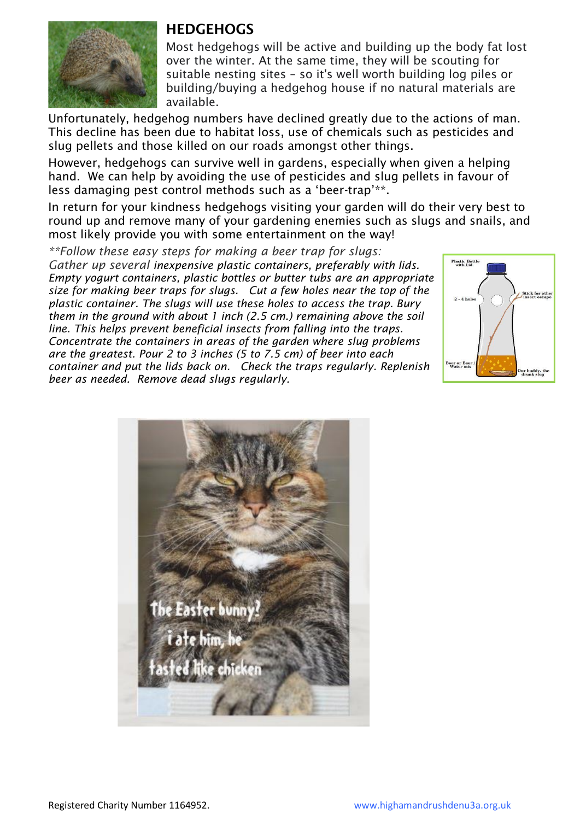

#### **HEDGEHOGS**

Most hedgehogs will be active and building up the body fat lost over the winter. At the same time, they will be scouting for suitable nesting sites – so it's well worth building log piles or building/buying a hedgehog house if no natural materials are available.

Unfortunately, hedgehog numbers have declined greatly due to the actions of man. This decline has been due to habitat loss, use of chemicals such as pesticides and slug pellets and those killed on our roads amongst other things.

However, hedgehogs can survive well in gardens, especially when given a helping hand. We can help by avoiding the use of pesticides and slug pellets in favour of less damaging pest control methods such as a 'beer-trap'\*\*.

In return for your kindness hedgehogs visiting your garden will do their very best to round up and remove many of your gardening enemies such as slugs and snails, and most likely provide you with some entertainment on the way!

*\*\*Follow these easy steps for making a beer trap for slugs: Gather up several inexpensive plastic containers, preferably with lids. Empty yogurt containers, plastic bottles or butter tubs are an appropriate size for making beer traps for slugs. Cut a few holes near the top of the plastic container. The slugs will use these holes to access the trap. Bury them in the ground with about 1 inch (2.5 cm.) remaining above the soil line. This helps prevent beneficial insects from falling into the traps. Concentrate the containers in areas of the garden where slug problems are the greatest. Pour 2 to 3 inches (5 to 7.5 cm) of beer into each container and put the lids back on. Check the traps regularly. Replenish beer as needed. Remove dead slugs regularly.*



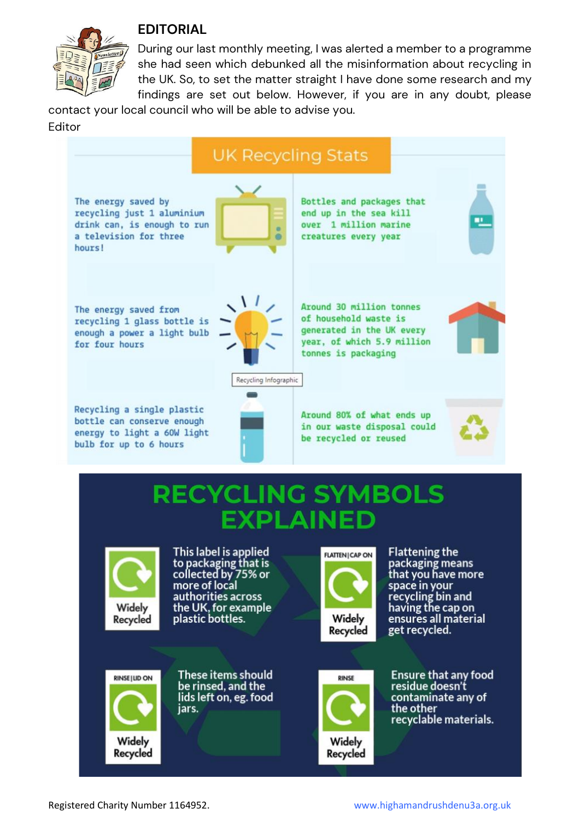

#### **EDITORIAL**

During our last monthly meeting, I was alerted a member to a programme she had seen which debunked all the misinformation about recycling in the UK. So, to set the matter straight I have done some research and my findings are set out below. However, if you are in any doubt, please

contact your local council who will be able to advise you. Editor



Recycled

Recycled